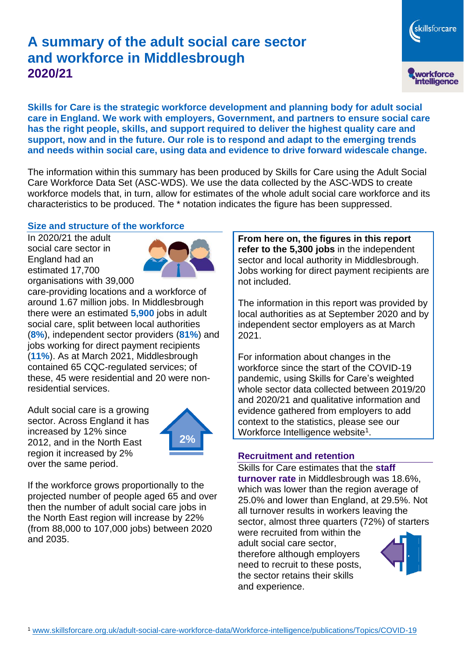# **A summary of the adult social care sector and workforce in Middlesbrough 2020/21**

workforce<br>intelligence

skillsforcare

**Skills for Care is the strategic workforce development and planning body for adult social care in England. We work with employers, Government, and partners to ensure social care has the right people, skills, and support required to deliver the highest quality care and support, now and in the future. Our role is to respond and adapt to the emerging trends and needs within social care, using data and evidence to drive forward widescale change.**

The information within this summary has been produced by Skills for Care using the Adult Social Care Workforce Data Set (ASC-WDS). We use the data collected by the ASC-WDS to create workforce models that, in turn, allow for estimates of the whole adult social care workforce and its characteristics to be produced. The \* notation indicates the figure has been suppressed.

## **Size and structure of the workforce**

In 2020/21 the adult social care sector in England had an estimated 17,700 organisations with 39,000



care-providing locations and a workforce of around 1.67 million jobs. In Middlesbrough there were an estimated **5,900** jobs in adult social care, split between local authorities (**8%**), independent sector providers (**81%**) and jobs working for direct payment recipients (**11%**). As at March 2021, Middlesbrough contained 65 CQC-regulated services; of these, 45 were residential and 20 were nonresidential services.

Adult social care is a growing sector. Across England it has increased by 12% since 2012, and in the North East region it increased by 2% over the same period.



If the workforce grows proportionally to the projected number of people aged 65 and over then the number of adult social care jobs in the North East region will increase by 22% (from 88,000 to 107,000 jobs) between 2020 and 2035.

**From here on, the figures in this report refer to the 5,300 jobs** in the independent sector and local authority in Middlesbrough. Jobs working for direct payment recipients are not included.

The information in this report was provided by local authorities as at September 2020 and by independent sector employers as at March 2021.

For information about changes in the workforce since the start of the COVID-19 pandemic, using Skills for Care's weighted whole sector data collected between 2019/20 and 2020/21 and qualitative information and evidence gathered from employers to add context to the statistics, please see our Workforce Intelligence website<sup>1</sup>.

#### **Recruitment and retention**

Skills for Care estimates that the **staff turnover rate** in Middlesbrough was 18.6%, which was lower than the region average of 25.0% and lower than England, at 29.5%. Not all turnover results in workers leaving the sector, almost three quarters (72%) of starters

were recruited from within the adult social care sector, therefore although employers need to recruit to these posts, the sector retains their skills and experience.

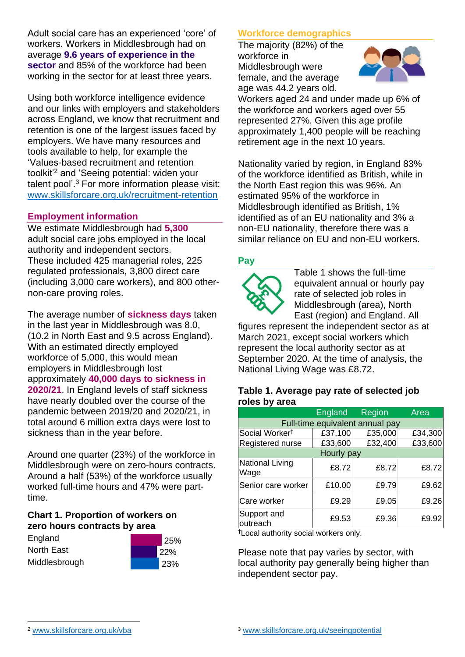Adult social care has an experienced 'core' of workers. Workers in Middlesbrough had on average **9.6 years of experience in the sector** and 85% of the workforce had been working in the sector for at least three years.

Using both workforce intelligence evidence and our links with employers and stakeholders across England, we know that recruitment and retention is one of the largest issues faced by employers. We have many resources and tools available to help, for example the 'Values-based recruitment and retention toolkit'<sup>2</sup> and 'Seeing potential: widen your talent pool'. <sup>3</sup> For more information please visit: [www.skillsforcare.org.uk/recruitment-retention](http://www.skillsforcare.org.uk/recruitment-retention)

## **Employment information**

We estimate Middlesbrough had **5,300** adult social care jobs employed in the local authority and independent sectors. These included 425 managerial roles, 225 regulated professionals, 3,800 direct care (including 3,000 care workers), and 800 othernon-care proving roles.

The average number of **sickness days** taken in the last year in Middlesbrough was 8.0, (10.2 in North East and 9.5 across England). With an estimated directly employed workforce of 5,000, this would mean employers in Middlesbrough lost approximately **40,000 days to sickness in 2020/21**. In England levels of staff sickness have nearly doubled over the course of the pandemic between 2019/20 and 2020/21, in total around 6 million extra days were lost to sickness than in the year before.

Around one quarter (23%) of the workforce in Middlesbrough were on zero-hours contracts. Around a half (53%) of the workforce usually worked full-time hours and 47% were parttime.

#### **Chart 1. Proportion of workers on zero hours contracts by area**

| England       |  |
|---------------|--|
| North East    |  |
| Middlesbrough |  |



## **Workforce demographics**

The majority (82%) of the workforce in Middlesbrough were female, and the average age was 44.2 years old.



Workers aged 24 and under made up 6% of the workforce and workers aged over 55 represented 27%. Given this age profile approximately 1,400 people will be reaching retirement age in the next 10 years.

Nationality varied by region, in England 83% of the workforce identified as British, while in the North East region this was 96%. An estimated 95% of the workforce in Middlesbrough identified as British, 1% identified as of an EU nationality and 3% a non-EU nationality, therefore there was a similar reliance on EU and non-EU workers.

## **Pay**



Table 1 shows the full-time equivalent annual or hourly pay rate of selected job roles in Middlesbrough (area), North East (region) and England. All

figures represent the independent sector as at March 2021, except social workers which represent the local authority sector as at September 2020. At the time of analysis, the National Living Wage was £8.72.

#### **Table 1. Average pay rate of selected job roles by area**

|                                 | England | Region  | Area    |
|---------------------------------|---------|---------|---------|
| Full-time equivalent annual pay |         |         |         |
| Social Worker <sup>t</sup>      | £37,100 | £35,000 | £34,300 |
| Registered nurse                | £33,600 | £32,400 | £33,600 |
| Hourly pay                      |         |         |         |
| National Living<br>Wage         | £8.72   | £8.72   | £8.72   |
| Senior care worker              | £10.00  | £9.79   | £9.62   |
| Care worker                     | £9.29   | £9.05   | £9.26   |
| Support and<br>outreach         | £9.53   | £9.36   | £9.92   |

†Local authority social workers only.

Please note that pay varies by sector, with local authority pay generally being higher than independent sector pay.

[www.skillsforcare.org.uk/vba](http://www.skillsforcare.org.uk/vba)